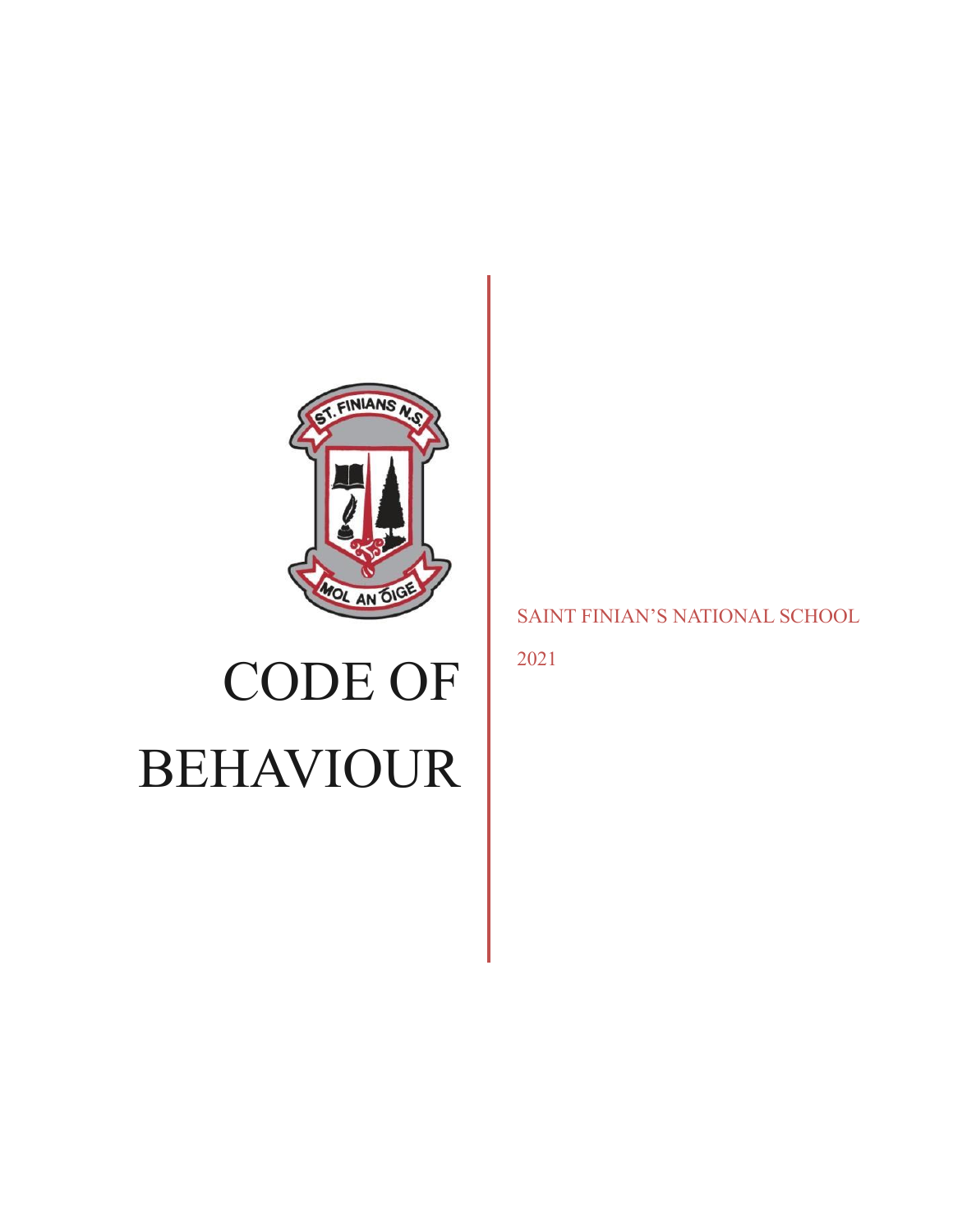

# CODE OF BEHAVIOUR

# SAINT FINIAN'S NATIONAL SCHOOL

2021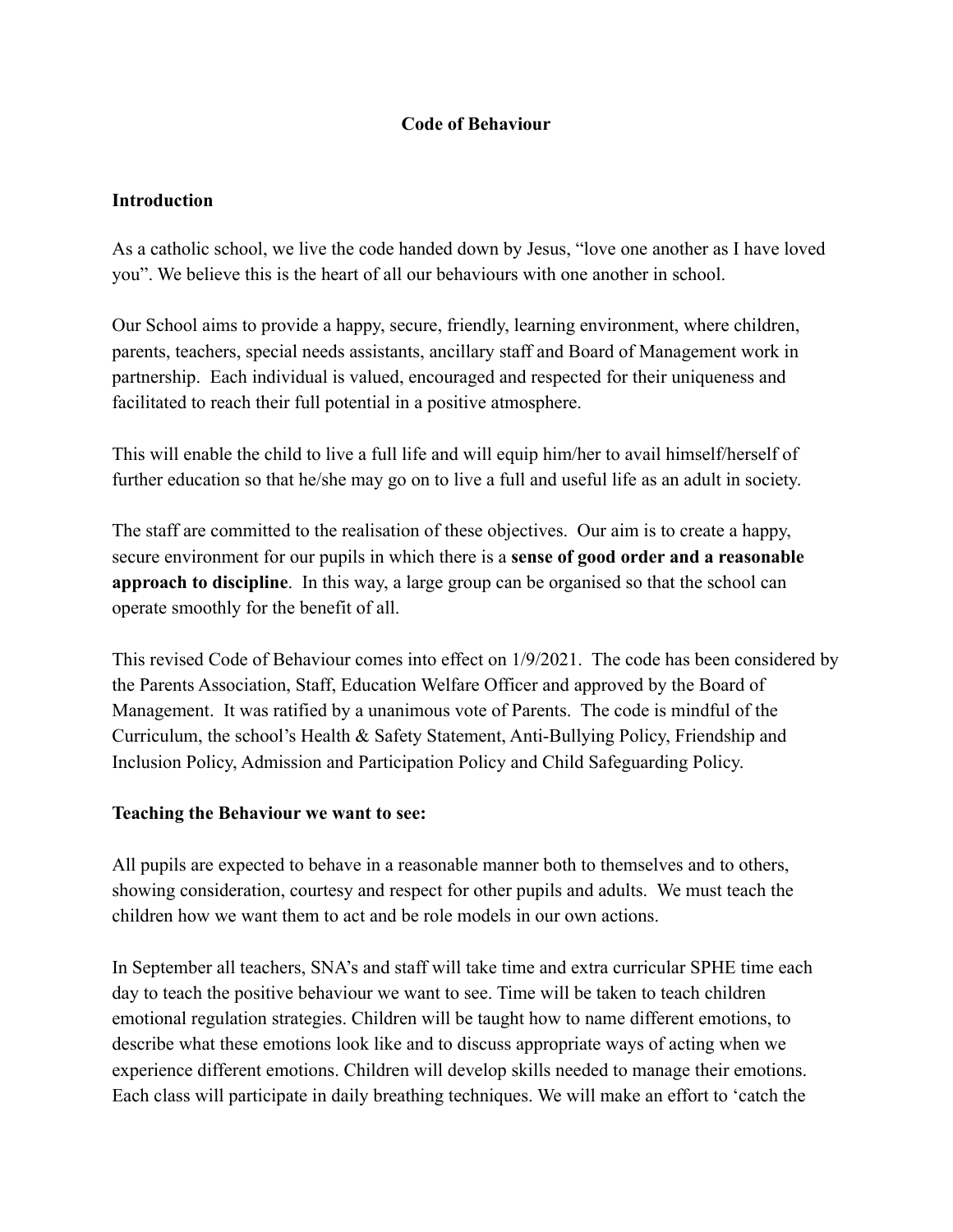## **Code of Behaviour**

#### **Introduction**

As a catholic school, we live the code handed down by Jesus, "love one another as I have loved you". We believe this is the heart of all our behaviours with one another in school.

Our School aims to provide a happy, secure, friendly, learning environment, where children, parents, teachers, special needs assistants, ancillary staff and Board of Management work in partnership. Each individual is valued, encouraged and respected for their uniqueness and facilitated to reach their full potential in a positive atmosphere.

This will enable the child to live a full life and will equip him/her to avail himself/herself of further education so that he/she may go on to live a full and useful life as an adult in society.

The staff are committed to the realisation of these objectives. Our aim is to create a happy, secure environment for our pupils in which there is a **sense of good order and a reasonable approach to discipline**. In this way, a large group can be organised so that the school can operate smoothly for the benefit of all.

This revised Code of Behaviour comes into effect on 1/9/2021. The code has been considered by the Parents Association, Staff, Education Welfare Officer and approved by the Board of Management. It was ratified by a unanimous vote of Parents. The code is mindful of the Curriculum, the school's Health & Safety Statement, Anti-Bullying Policy, Friendship and Inclusion Policy, Admission and Participation Policy and Child Safeguarding Policy.

#### **Teaching the Behaviour we want to see:**

All pupils are expected to behave in a reasonable manner both to themselves and to others, showing consideration, courtesy and respect for other pupils and adults. We must teach the children how we want them to act and be role models in our own actions.

In September all teachers, SNA's and staff will take time and extra curricular SPHE time each day to teach the positive behaviour we want to see. Time will be taken to teach children emotional regulation strategies. Children will be taught how to name different emotions, to describe what these emotions look like and to discuss appropriate ways of acting when we experience different emotions. Children will develop skills needed to manage their emotions. Each class will participate in daily breathing techniques. We will make an effort to 'catch the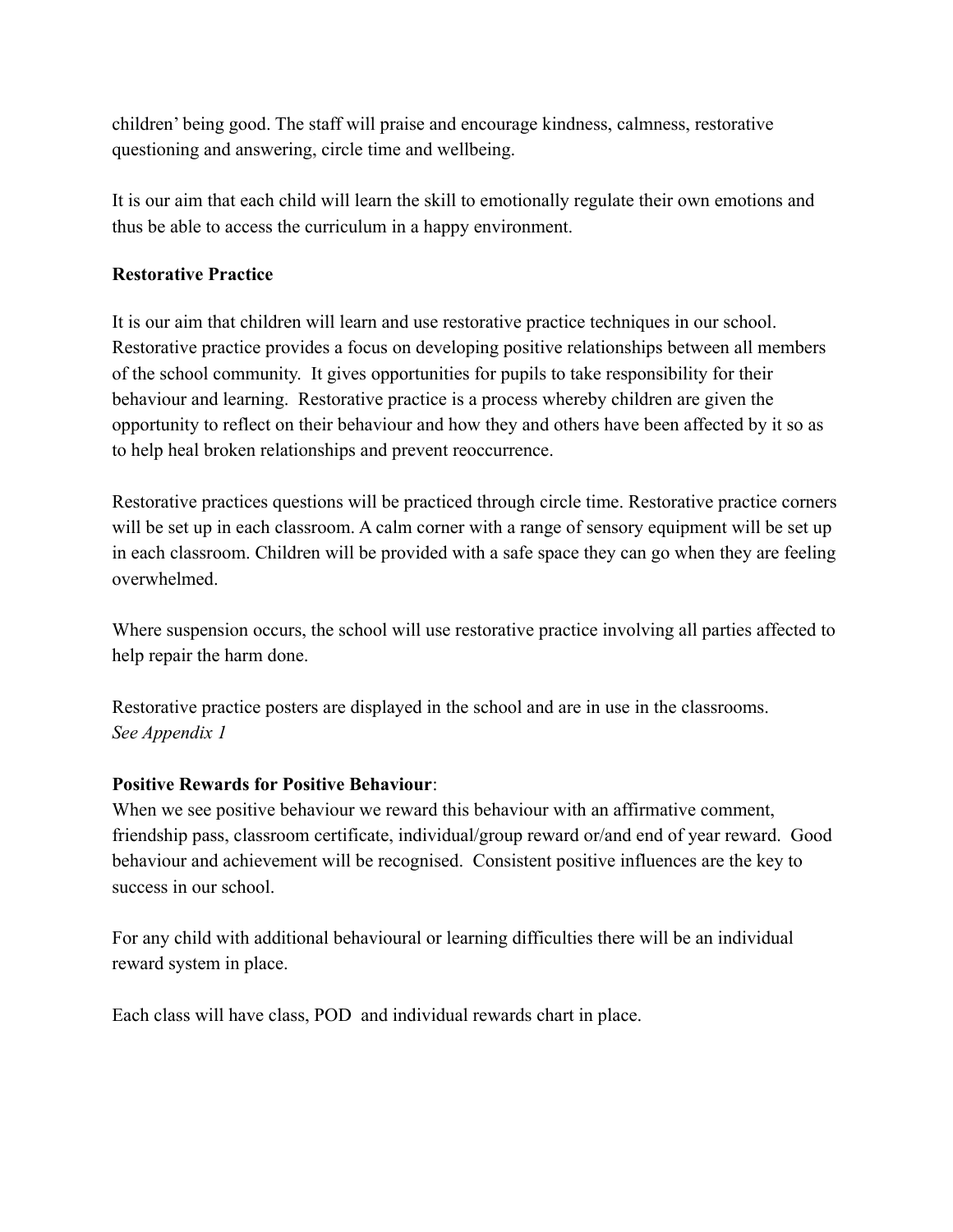children' being good. The staff will praise and encourage kindness, calmness, restorative questioning and answering, circle time and wellbeing.

It is our aim that each child will learn the skill to emotionally regulate their own emotions and thus be able to access the curriculum in a happy environment.

## **Restorative Practice**

It is our aim that children will learn and use restorative practice techniques in our school. Restorative practice provides a focus on developing positive relationships between all members of the school community. It gives opportunities for pupils to take responsibility for their behaviour and learning. Restorative practice is a process whereby children are given the opportunity to reflect on their behaviour and how they and others have been affected by it so as to help heal broken relationships and prevent reoccurrence.

Restorative practices questions will be practiced through circle time. Restorative practice corners will be set up in each classroom. A calm corner with a range of sensory equipment will be set up in each classroom. Children will be provided with a safe space they can go when they are feeling overwhelmed.

Where suspension occurs, the school will use restorative practice involving all parties affected to help repair the harm done.

Restorative practice posters are displayed in the school and are in use in the classrooms. *See Appendix 1*

#### **Positive Rewards for Positive Behaviour**:

When we see positive behaviour we reward this behaviour with an affirmative comment, friendship pass, classroom certificate, individual/group reward or/and end of year reward. Good behaviour and achievement will be recognised. Consistent positive influences are the key to success in our school.

For any child with additional behavioural or learning difficulties there will be an individual reward system in place.

Each class will have class, POD and individual rewards chart in place.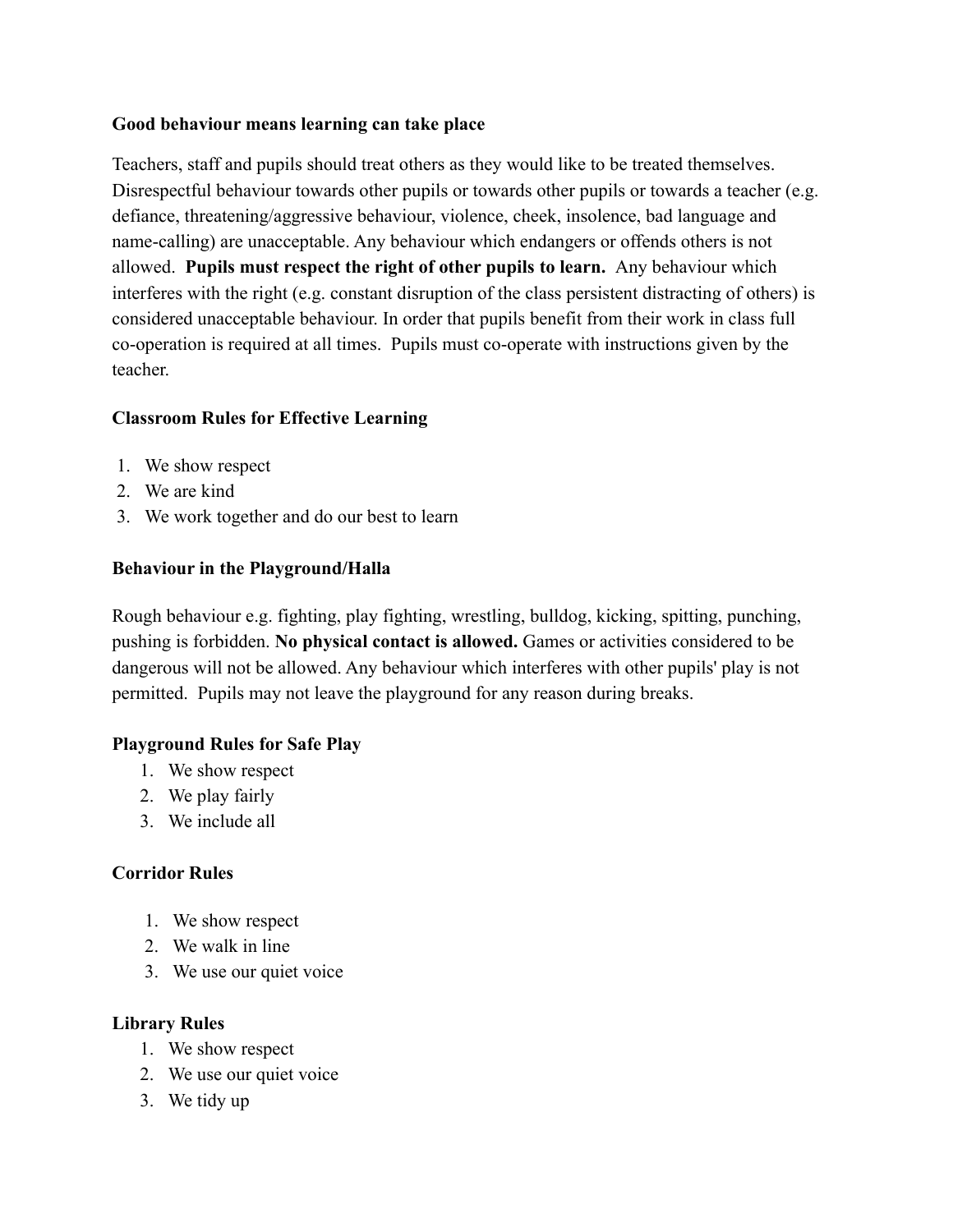#### **Good behaviour means learning can take place**

Teachers, staff and pupils should treat others as they would like to be treated themselves. Disrespectful behaviour towards other pupils or towards other pupils or towards a teacher (e.g. defiance, threatening/aggressive behaviour, violence, cheek, insolence, bad language and name-calling) are unacceptable. Any behaviour which endangers or offends others is not allowed. **Pupils must respect the right of other pupils to learn.** Any behaviour which interferes with the right (e.g. constant disruption of the class persistent distracting of others) is considered unacceptable behaviour. In order that pupils benefit from their work in class full co-operation is required at all times. Pupils must co-operate with instructions given by the teacher.

# **Classroom Rules for Effective Learning**

- 1. We show respect
- 2. We are kind
- 3. We work together and do our best to learn

# **Behaviour in the Playground/Halla**

Rough behaviour e.g. fighting, play fighting, wrestling, bulldog, kicking, spitting, punching, pushing is forbidden. **No physical contact is allowed.** Games or activities considered to be dangerous will not be allowed. Any behaviour which interferes with other pupils' play is not permitted. Pupils may not leave the playground for any reason during breaks.

# **Playground Rules for Safe Play**

- 1. We show respect
- 2. We play fairly
- 3. We include all

# **Corridor Rules**

- 1. We show respect
- 2. We walk in line
- 3. We use our quiet voice

# **Library Rules**

- 1. We show respect
- 2. We use our quiet voice
- 3. We tidy up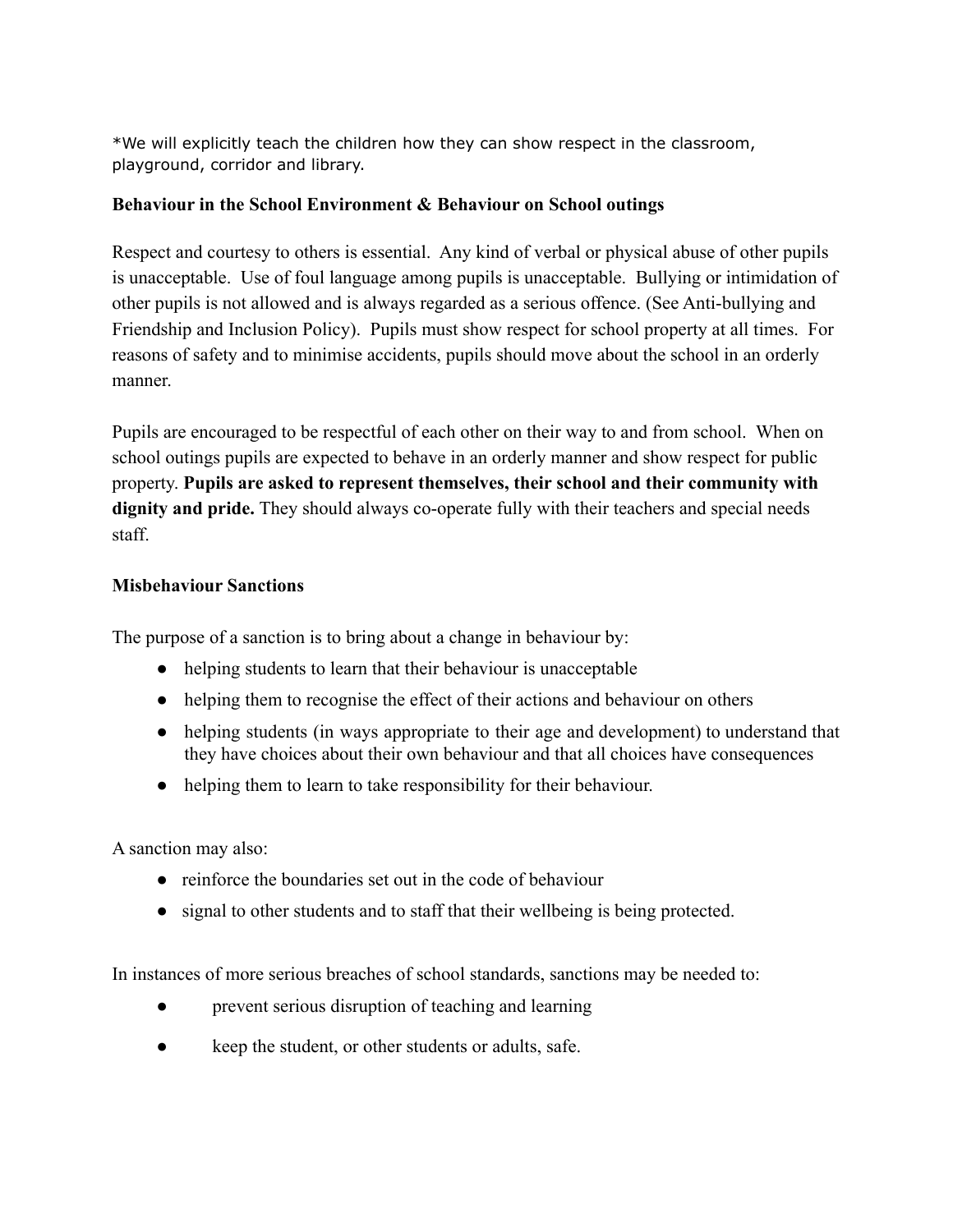\*We will explicitly teach the children how they can show respect in the classroom, playground, corridor and library.

## **Behaviour in the School Environment & Behaviour on School outings**

Respect and courtesy to others is essential. Any kind of verbal or physical abuse of other pupils is unacceptable. Use of foul language among pupils is unacceptable. Bullying or intimidation of other pupils is not allowed and is always regarded as a serious offence. (See Anti-bullying and Friendship and Inclusion Policy). Pupils must show respect for school property at all times. For reasons of safety and to minimise accidents, pupils should move about the school in an orderly manner.

Pupils are encouraged to be respectful of each other on their way to and from school. When on school outings pupils are expected to behave in an orderly manner and show respect for public property. **Pupils are asked to represent themselves, their school and their community with dignity and pride.** They should always co-operate fully with their teachers and special needs staff.

## **Misbehaviour Sanctions**

The purpose of a sanction is to bring about a change in behaviour by:

- helping students to learn that their behaviour is unacceptable
- helping them to recognise the effect of their actions and behaviour on others
- helping students (in ways appropriate to their age and development) to understand that they have choices about their own behaviour and that all choices have consequences
- helping them to learn to take responsibility for their behaviour.

A sanction may also:

- reinforce the boundaries set out in the code of behaviour
- signal to other students and to staff that their wellbeing is being protected.

In instances of more serious breaches of school standards, sanctions may be needed to:

- prevent serious disruption of teaching and learning
- keep the student, or other students or adults, safe.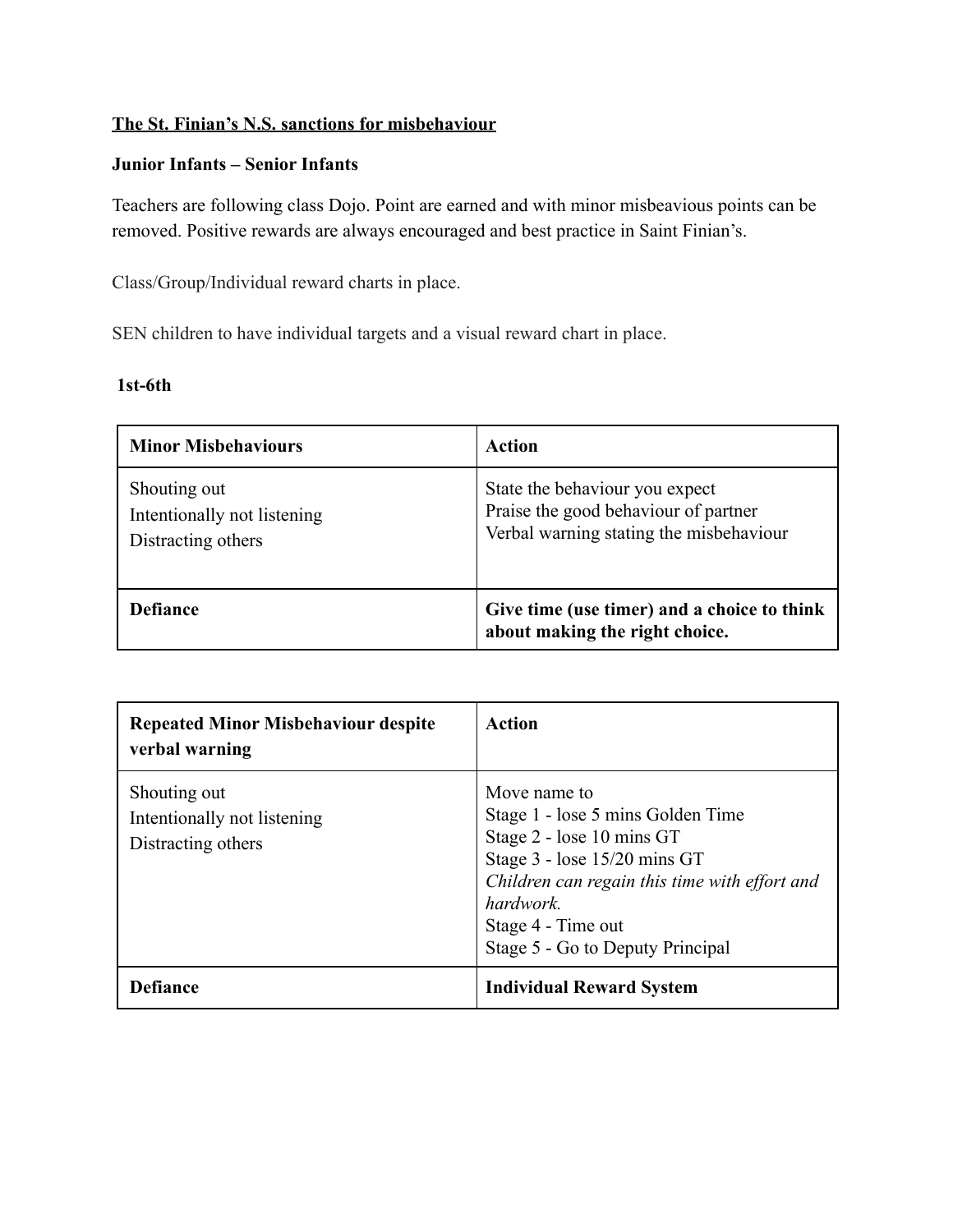## **The St. Finian's N.S. sanctions for misbehaviour**

#### **Junior Infants – Senior Infants**

Teachers are following class Dojo. Point are earned and with minor misbeavious points can be removed. Positive rewards are always encouraged and best practice in Saint Finian's.

Class/Group/Individual reward charts in place.

SEN children to have individual targets and a visual reward chart in place.

#### **1st-6th**

| <b>Minor Misbehaviours</b>                                        | Action                                                                                                            |
|-------------------------------------------------------------------|-------------------------------------------------------------------------------------------------------------------|
| Shouting out<br>Intentionally not listening<br>Distracting others | State the behaviour you expect<br>Praise the good behaviour of partner<br>Verbal warning stating the misbehaviour |
| <b>Defiance</b>                                                   | Give time (use timer) and a choice to think<br>about making the right choice.                                     |

| <b>Repeated Minor Misbehaviour despite</b><br>verbal warning      | <b>Action</b>                                                                                                                                                                                                                          |
|-------------------------------------------------------------------|----------------------------------------------------------------------------------------------------------------------------------------------------------------------------------------------------------------------------------------|
| Shouting out<br>Intentionally not listening<br>Distracting others | Move name to<br>Stage 1 - lose 5 mins Golden Time<br>Stage 2 - lose 10 mins GT<br>Stage 3 - lose 15/20 mins GT<br>Children can regain this time with effort and<br>hardwork.<br>Stage 4 - Time out<br>Stage 5 - Go to Deputy Principal |
| Defiance                                                          | <b>Individual Reward System</b>                                                                                                                                                                                                        |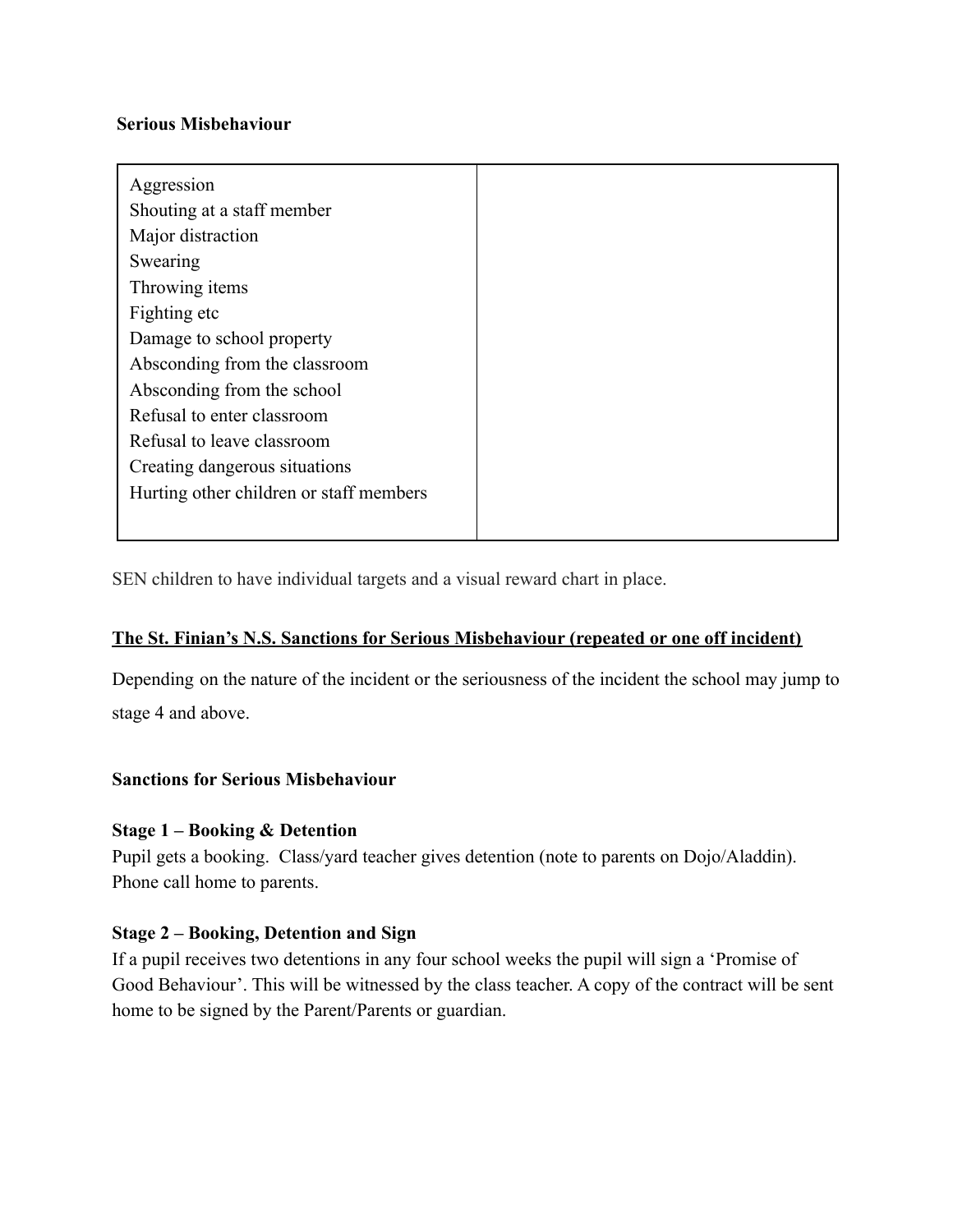#### **Serious Misbehaviour**

| Aggression                              |  |
|-----------------------------------------|--|
| Shouting at a staff member              |  |
| Major distraction                       |  |
| Swearing                                |  |
| Throwing items                          |  |
| Fighting etc                            |  |
| Damage to school property               |  |
| Absconding from the classroom           |  |
| Absconding from the school              |  |
| Refusal to enter classroom              |  |
| Refusal to leave classroom              |  |
| Creating dangerous situations           |  |
| Hurting other children or staff members |  |
|                                         |  |

SEN children to have individual targets and a visual reward chart in place.

#### **The St. Finian's N.S. Sanctions for Serious Misbehaviour (repeated or one off incident)**

Depending on the nature of the incident or the seriousness of the incident the school may jump to stage 4 and above.

#### **Sanctions for Serious Misbehaviour**

#### **Stage 1 – Booking & Detention**

Pupil gets a booking. Class/yard teacher gives detention (note to parents on Dojo/Aladdin). Phone call home to parents.

#### **Stage 2 – Booking, Detention and Sign**

If a pupil receives two detentions in any four school weeks the pupil will sign a 'Promise of Good Behaviour'. This will be witnessed by the class teacher. A copy of the contract will be sent home to be signed by the Parent/Parents or guardian.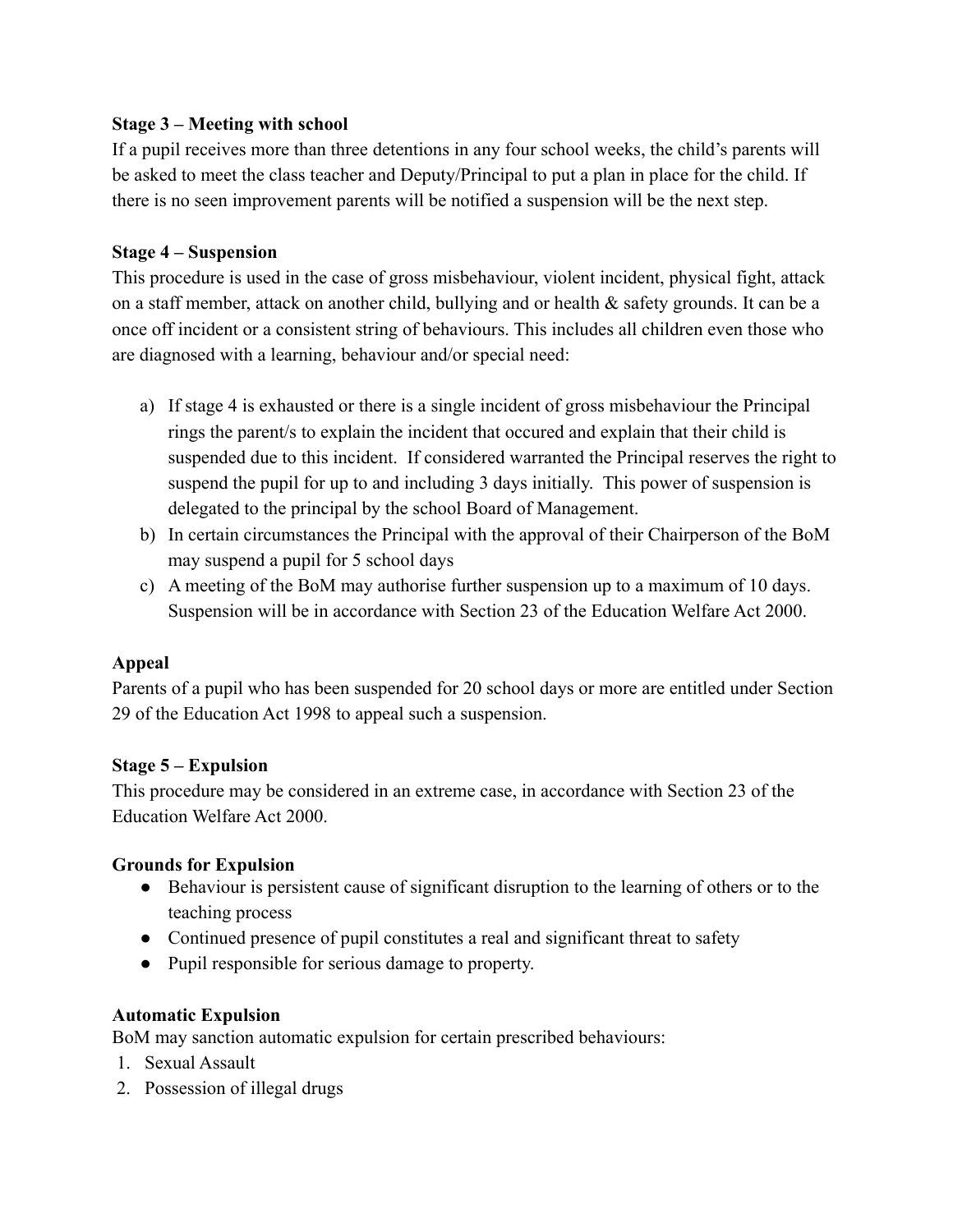#### **Stage 3 – Meeting with school**

If a pupil receives more than three detentions in any four school weeks, the child's parents will be asked to meet the class teacher and Deputy/Principal to put a plan in place for the child. If there is no seen improvement parents will be notified a suspension will be the next step.

## **Stage 4 – Suspension**

This procedure is used in the case of gross misbehaviour, violent incident, physical fight, attack on a staff member, attack on another child, bullying and or health & safety grounds. It can be a once off incident or a consistent string of behaviours. This includes all children even those who are diagnosed with a learning, behaviour and/or special need:

- a) If stage 4 is exhausted or there is a single incident of gross misbehaviour the Principal rings the parent/s to explain the incident that occured and explain that their child is suspended due to this incident. If considered warranted the Principal reserves the right to suspend the pupil for up to and including 3 days initially. This power of suspension is delegated to the principal by the school Board of Management.
- b) In certain circumstances the Principal with the approval of their Chairperson of the BoM may suspend a pupil for 5 school days
- c) A meeting of the BoM may authorise further suspension up to a maximum of 10 days. Suspension will be in accordance with Section 23 of the Education Welfare Act 2000.

# **Appeal**

Parents of a pupil who has been suspended for 20 school days or more are entitled under Section 29 of the Education Act 1998 to appeal such a suspension.

#### **Stage 5 – Expulsion**

This procedure may be considered in an extreme case, in accordance with Section 23 of the Education Welfare Act 2000.

# **Grounds for Expulsion**

- Behaviour is persistent cause of significant disruption to the learning of others or to the teaching process
- Continued presence of pupil constitutes a real and significant threat to safety
- Pupil responsible for serious damage to property.

# **Automatic Expulsion**

BoM may sanction automatic expulsion for certain prescribed behaviours:

- 1. Sexual Assault
- 2. Possession of illegal drugs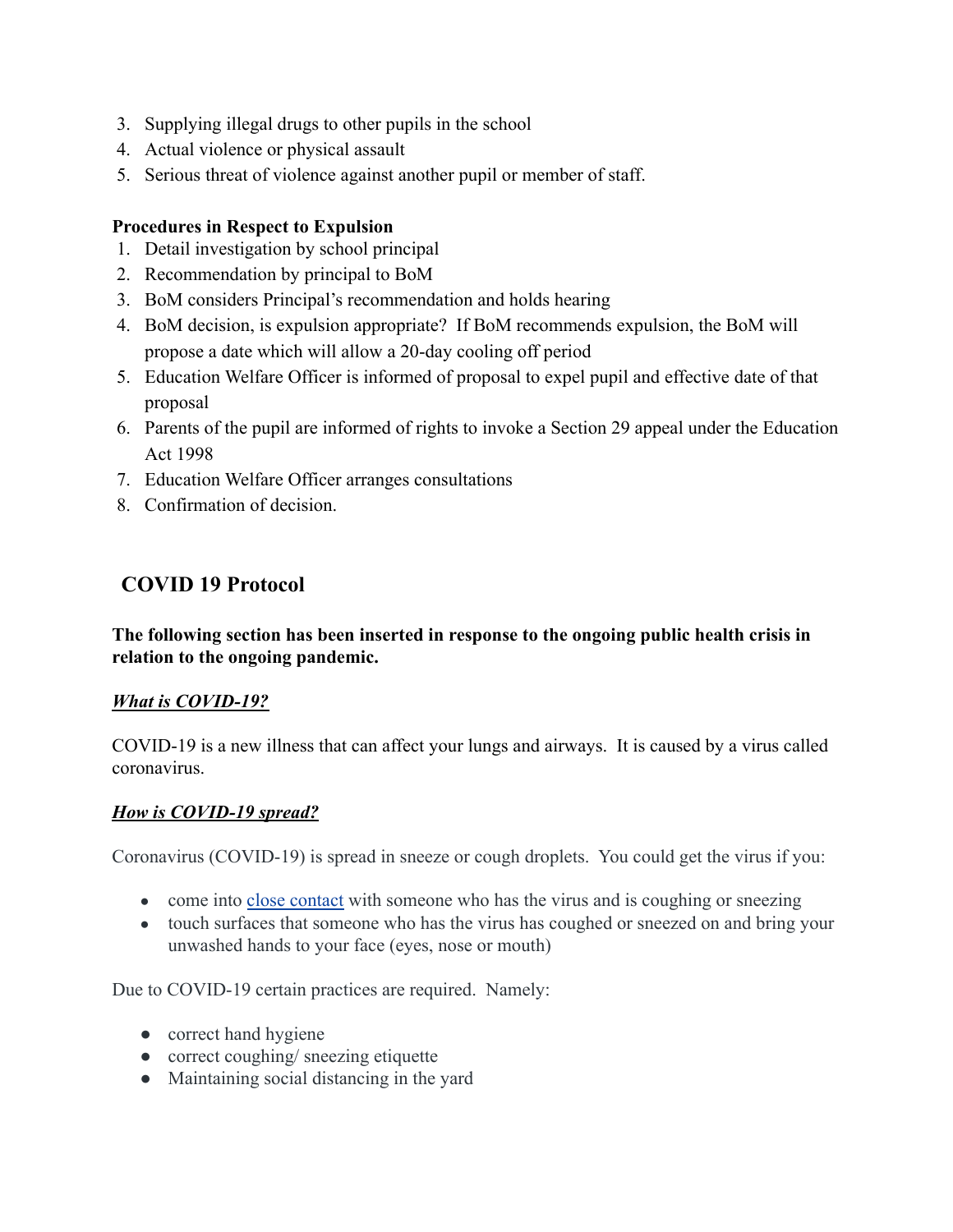- 3. Supplying illegal drugs to other pupils in the school
- 4. Actual violence or physical assault
- 5. Serious threat of violence against another pupil or member of staff.

#### **Procedures in Respect to Expulsion**

- 1. Detail investigation by school principal
- 2. Recommendation by principal to BoM
- 3. BoM considers Principal's recommendation and holds hearing
- 4. BoM decision, is expulsion appropriate? If BoM recommends expulsion, the BoM will propose a date which will allow a 20-day cooling off period
- 5. Education Welfare Officer is informed of proposal to expel pupil and effective date of that proposal
- 6. Parents of the pupil are informed of rights to invoke a Section 29 appeal under the Education Act 1998
- 7. Education Welfare Officer arranges consultations
- 8. Confirmation of decision.

# **COVID 19 Protocol**

**The following section has been inserted in response to the ongoing public health crisis in relation to the ongoing pandemic.**

#### *What is COVID-19?*

COVID-19 is a new illness that can affect your lungs and airways. It is caused by a virus called coronavirus.

#### *How is COVID-19 spread?*

Coronavirus (COVID-19) is spread in sneeze or cough droplets. You could get the virus if you:

- come into [close contact](https://www2.hse.ie/conditions/coronavirus/testing/contact-tracing.html) with someone who has the virus and is coughing or sneezing
- touch surfaces that someone who has the virus has coughed or sneezed on and bring your unwashed hands to your face (eyes, nose or mouth)

Due to COVID-19 certain practices are required. Namely:

- correct hand hygiene
- correct coughing/ sneezing etiquette
- Maintaining social distancing in the yard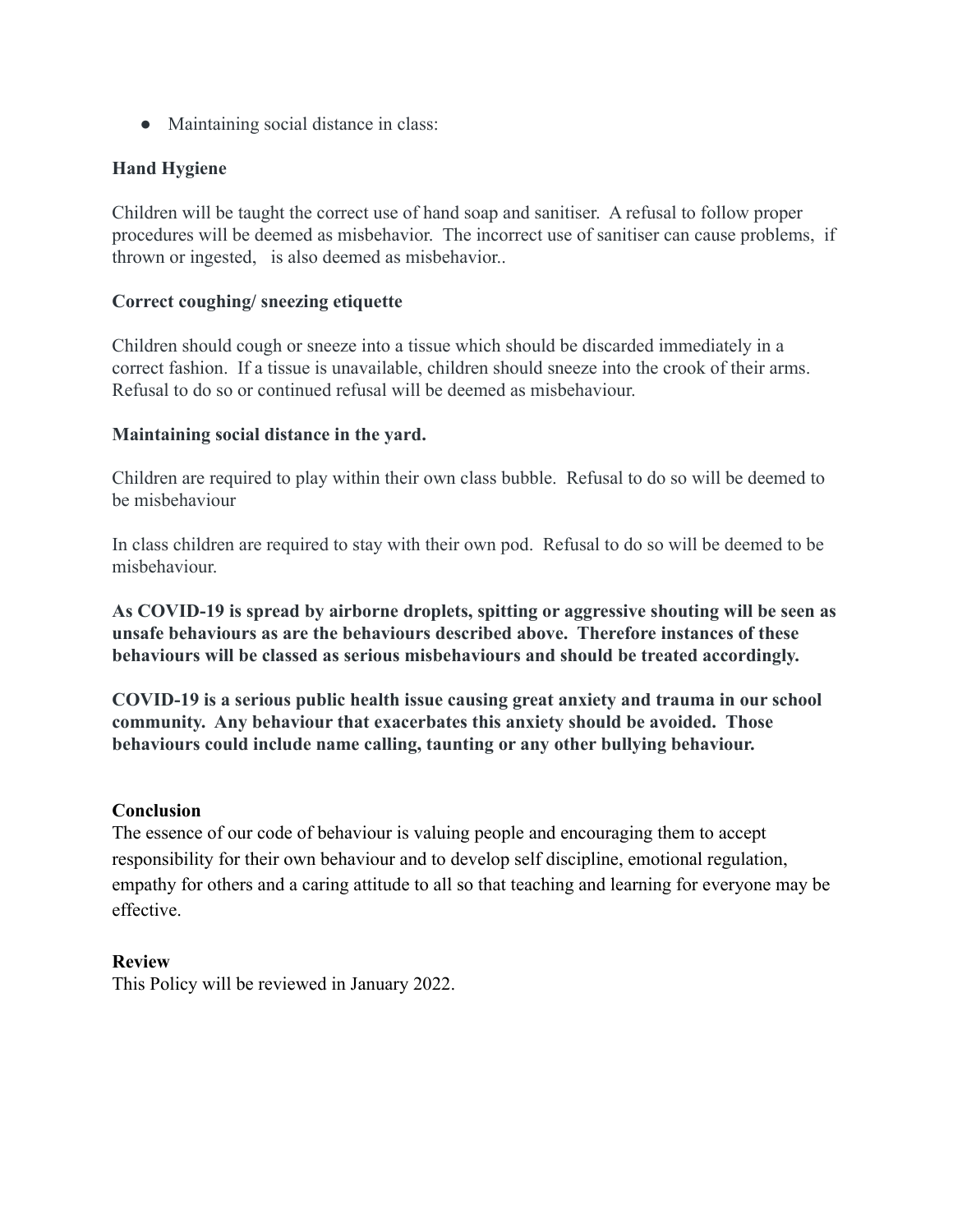• Maintaining social distance in class:

#### **Hand Hygiene**

Children will be taught the correct use of hand soap and sanitiser. A refusal to follow proper procedures will be deemed as misbehavior. The incorrect use of sanitiser can cause problems, if thrown or ingested, is also deemed as misbehavior..

#### **Correct coughing/ sneezing etiquette**

Children should cough or sneeze into a tissue which should be discarded immediately in a correct fashion. If a tissue is unavailable, children should sneeze into the crook of their arms. Refusal to do so or continued refusal will be deemed as misbehaviour.

#### **Maintaining social distance in the yard.**

Children are required to play within their own class bubble. Refusal to do so will be deemed to be misbehaviour

In class children are required to stay with their own pod. Refusal to do so will be deemed to be misbehaviour.

**As COVID-19 is spread by airborne droplets, spitting or aggressive shouting will be seen as unsafe behaviours as are the behaviours described above. Therefore instances of these behaviours will be classed as serious misbehaviours and should be treated accordingly.**

**COVID-19 is a serious public health issue causing great anxiety and trauma in our school community. Any behaviour that exacerbates this anxiety should be avoided. Those behaviours could include name calling, taunting or any other bullying behaviour.**

#### **Conclusion**

The essence of our code of behaviour is valuing people and encouraging them to accept responsibility for their own behaviour and to develop self discipline, emotional regulation, empathy for others and a caring attitude to all so that teaching and learning for everyone may be effective.

#### **Review**

This Policy will be reviewed in January 2022.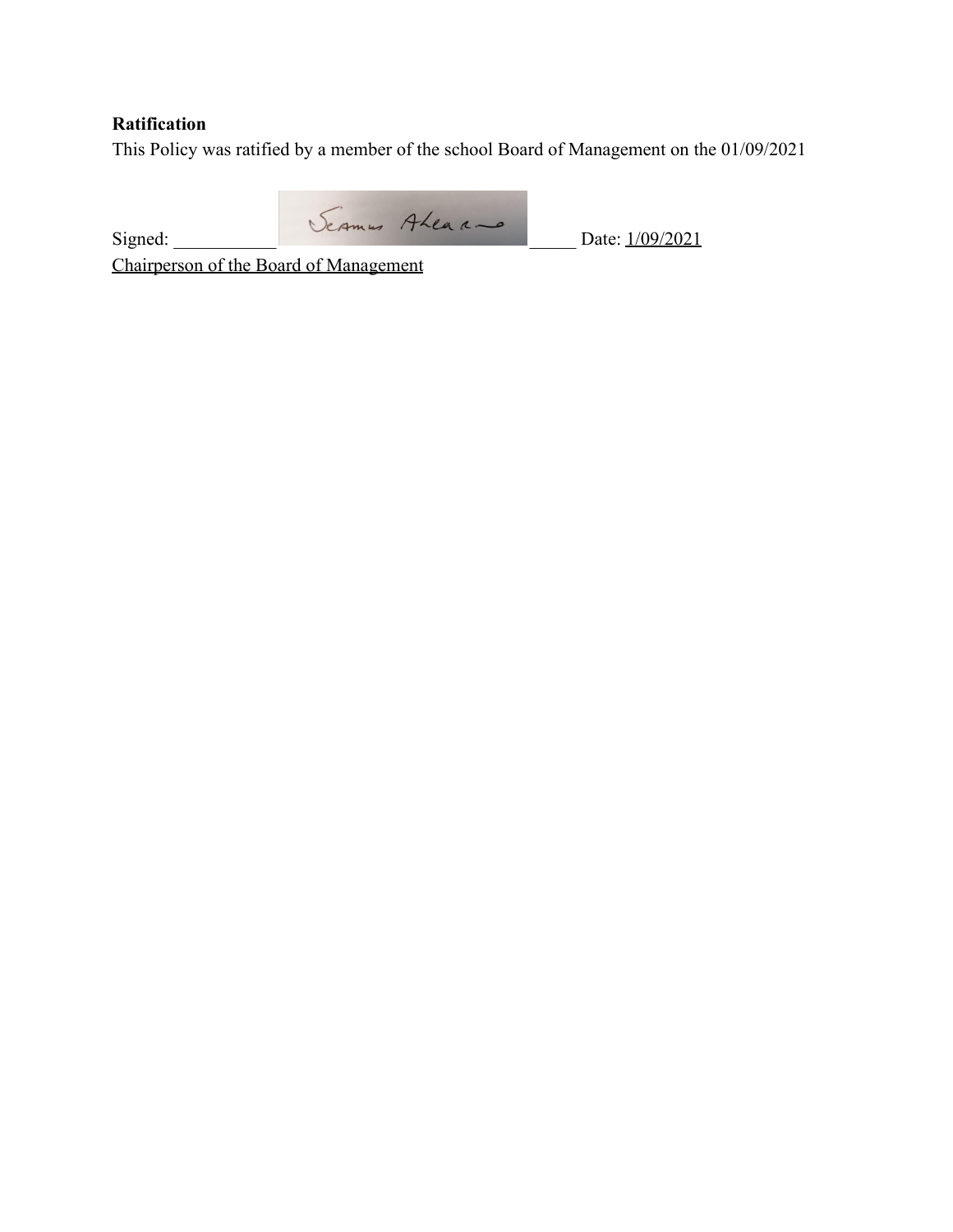# **Ratification**

This Policy was ratified by a member of the school Board of Management on the 01/09/2021

Signed: Seames Aleaa - Date: 1/09/2021

Chairperson of the Board of Management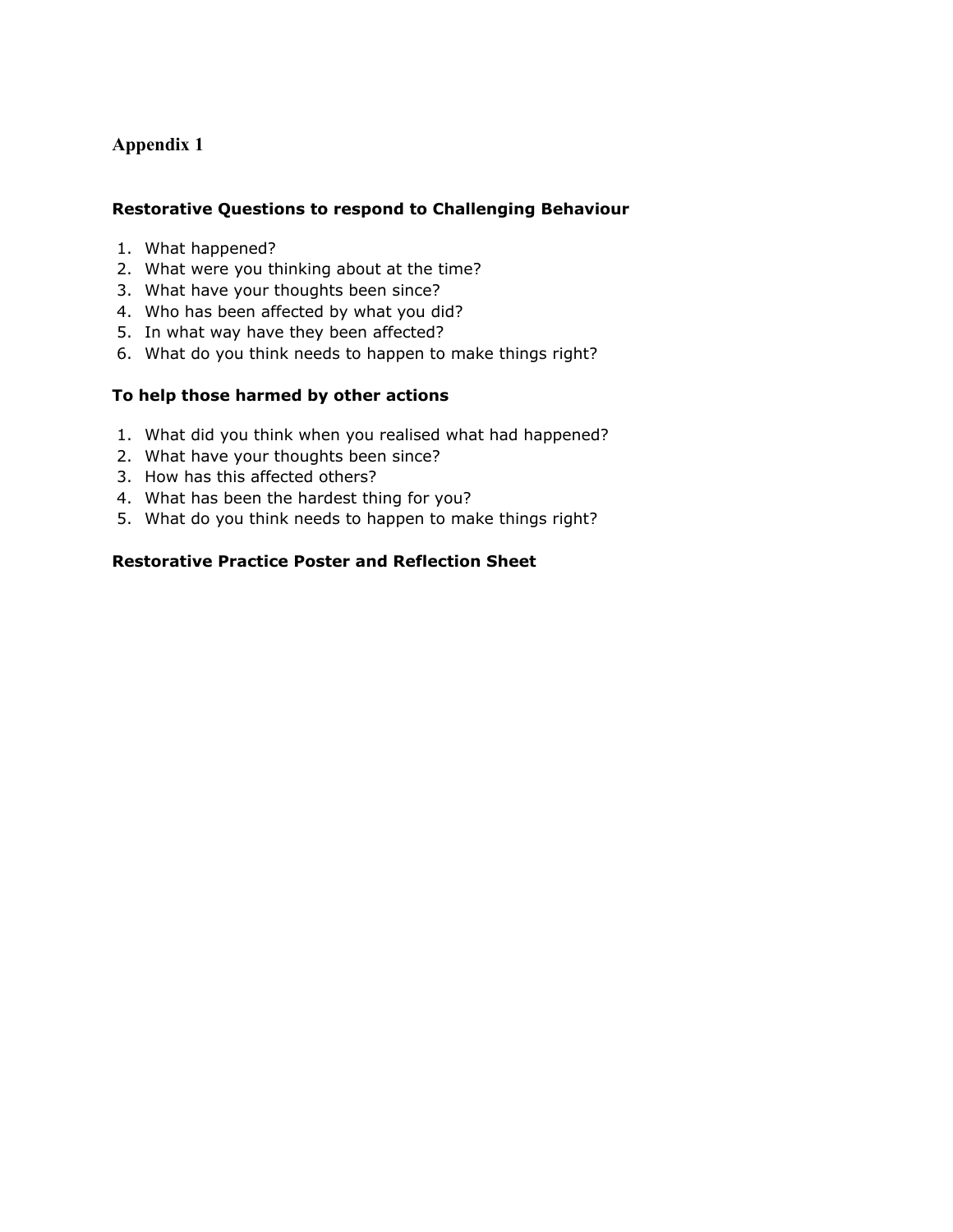## **Appendix 1**

#### **Restorative Questions to respond to Challenging Behaviour**

- 1. What happened?
- 2. What were you thinking about at the time?
- 3. What have your thoughts been since?
- 4. Who has been affected by what you did?
- 5. In what way have they been affected?
- 6. What do you think needs to happen to make things right?

#### **To help those harmed by other actions**

- 1. What did you think when you realised what had happened?
- 2. What have your thoughts been since?
- 3. How has this affected others?
- 4. What has been the hardest thing for you?
- 5. What do you think needs to happen to make things right?

#### **Restorative Practice Poster and Reflection Sheet**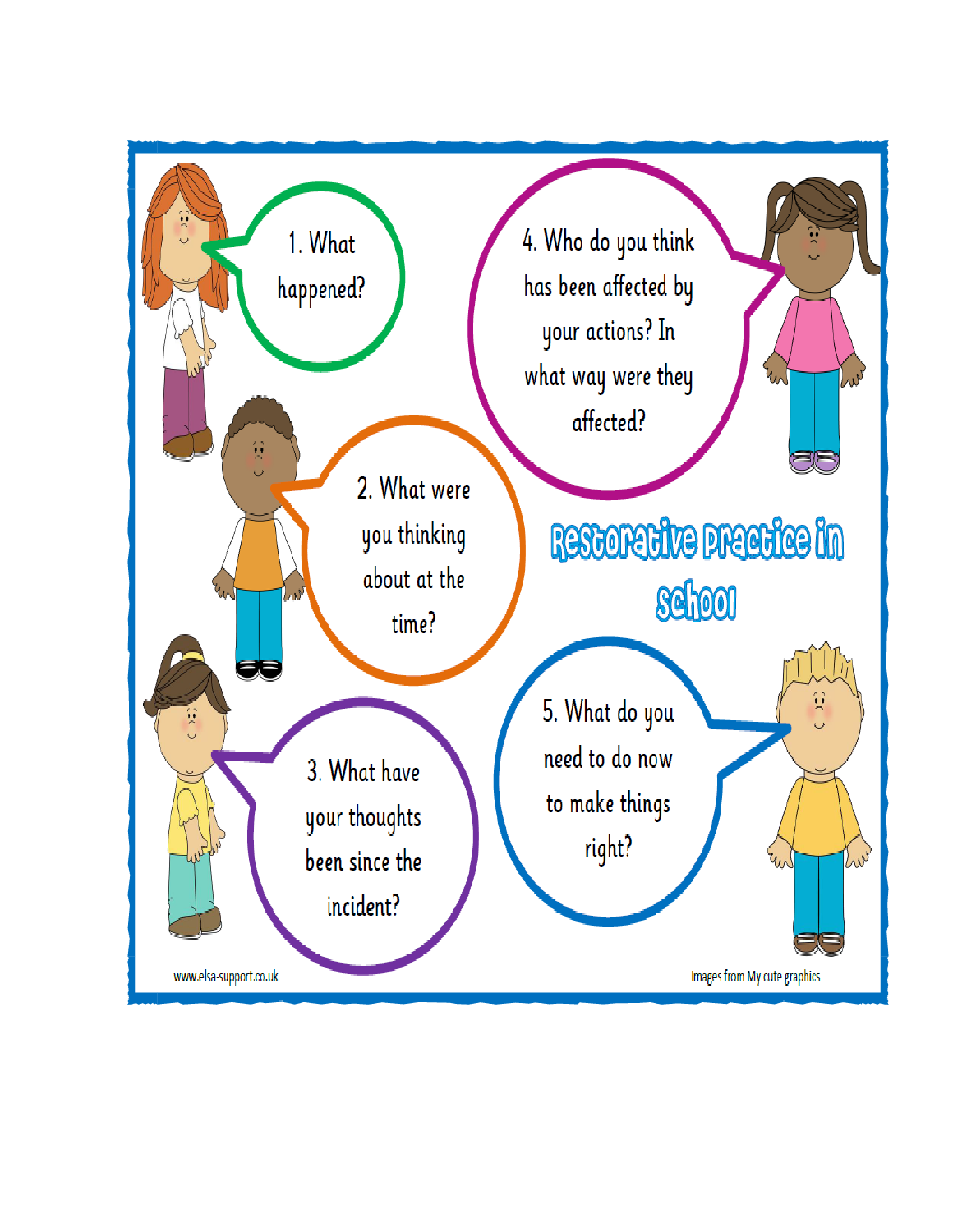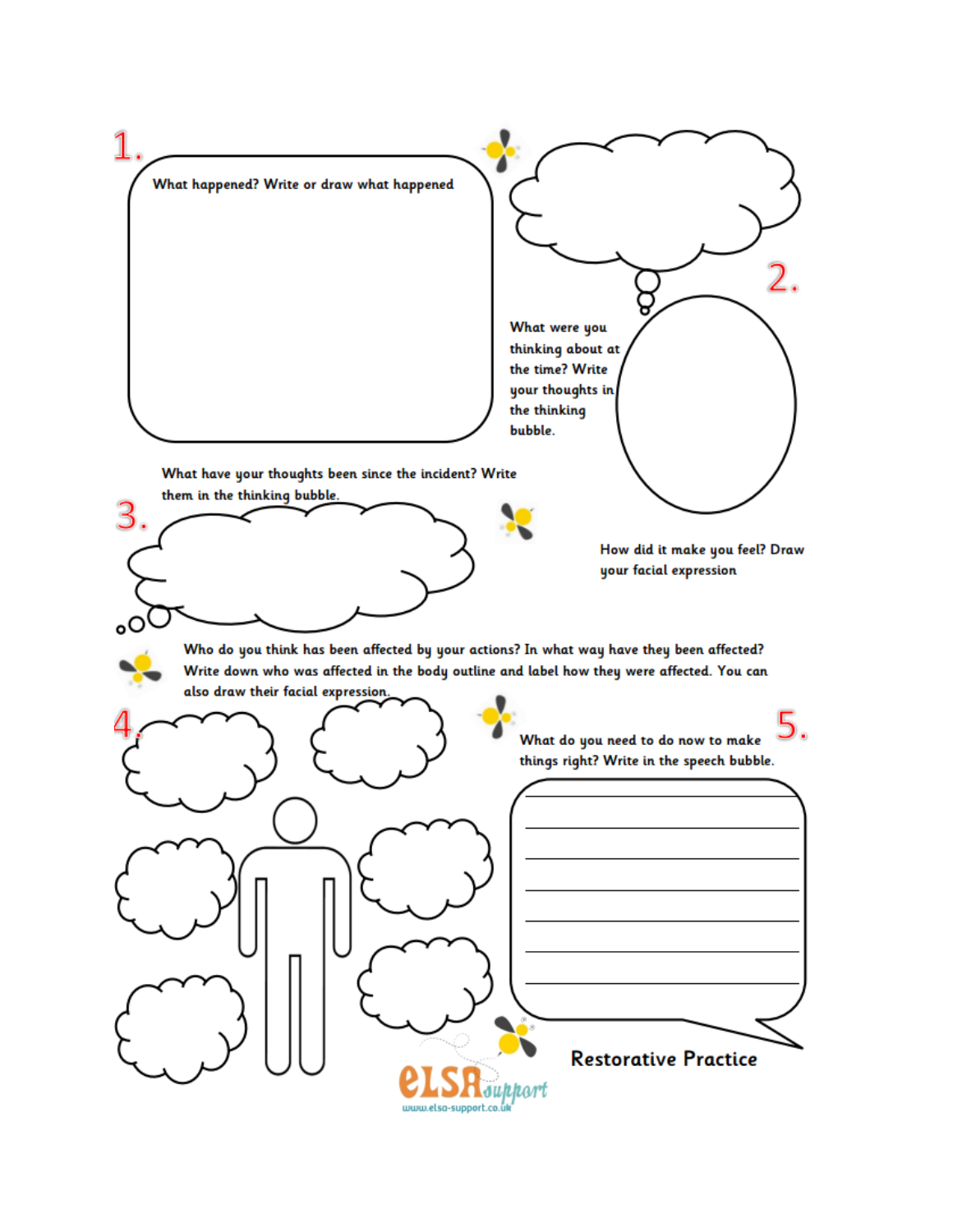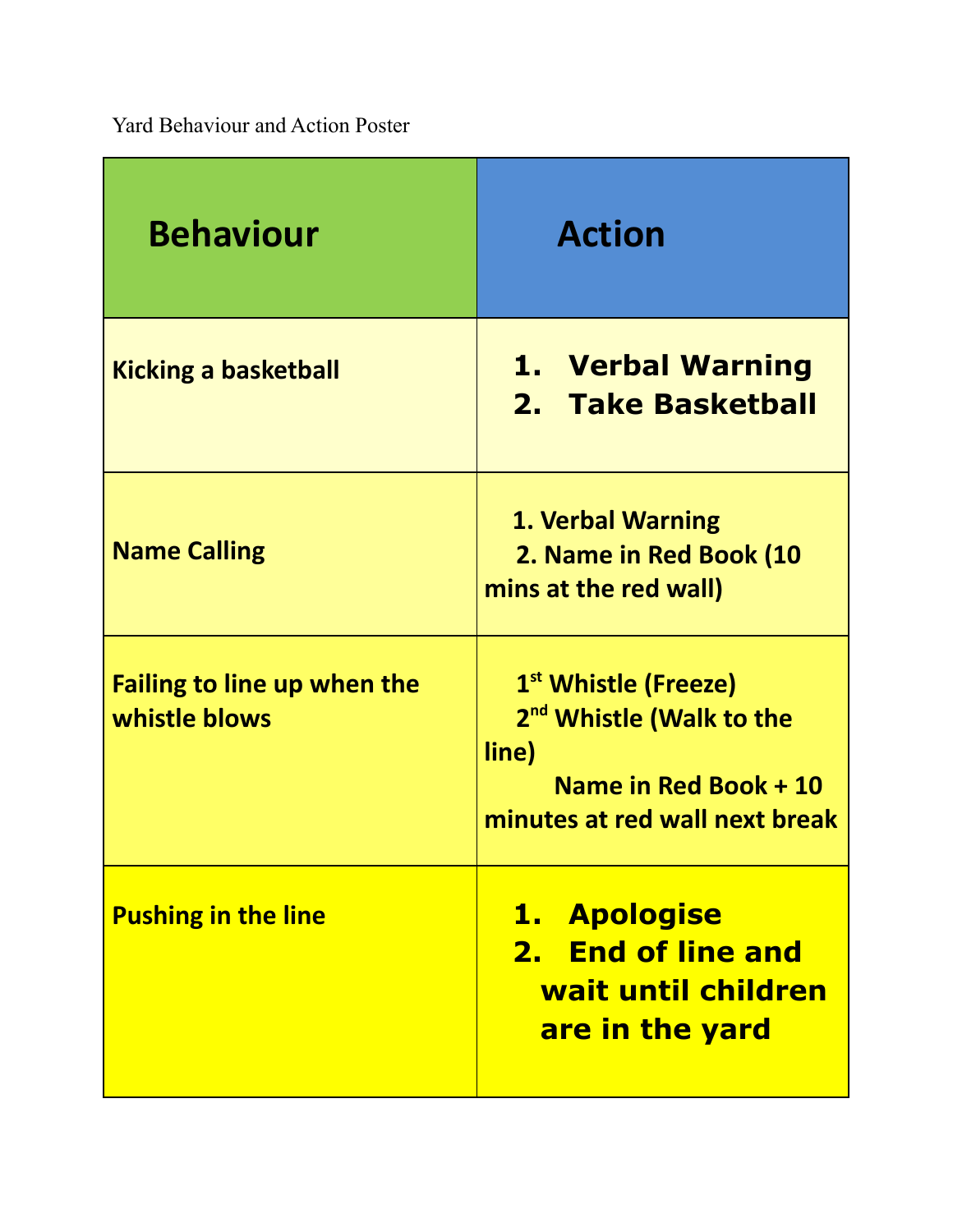Yard Behaviour and Action Poster

| <b>Behaviour</b>                                    | <b>Action</b>                                                                                                                                |
|-----------------------------------------------------|----------------------------------------------------------------------------------------------------------------------------------------------|
| <b>Kicking a basketball</b>                         | 1. Verbal Warning<br>2. Take Basketball                                                                                                      |
| <b>Name Calling</b>                                 | 1. Verbal Warning<br>2. Name in Red Book (10<br>mins at the red wall)                                                                        |
| <b>Failing to line up when the</b><br>whistle blows | 1 <sup>st</sup> Whistle (Freeze)<br>2 <sup>nd</sup> Whistle (Walk to the<br>line)<br>Name in Red Book + 10<br>minutes at red wall next break |
| <b>Pushing in the line</b>                          | 1. Apologise<br>2. End of line and<br>wait until children<br>are in the yard                                                                 |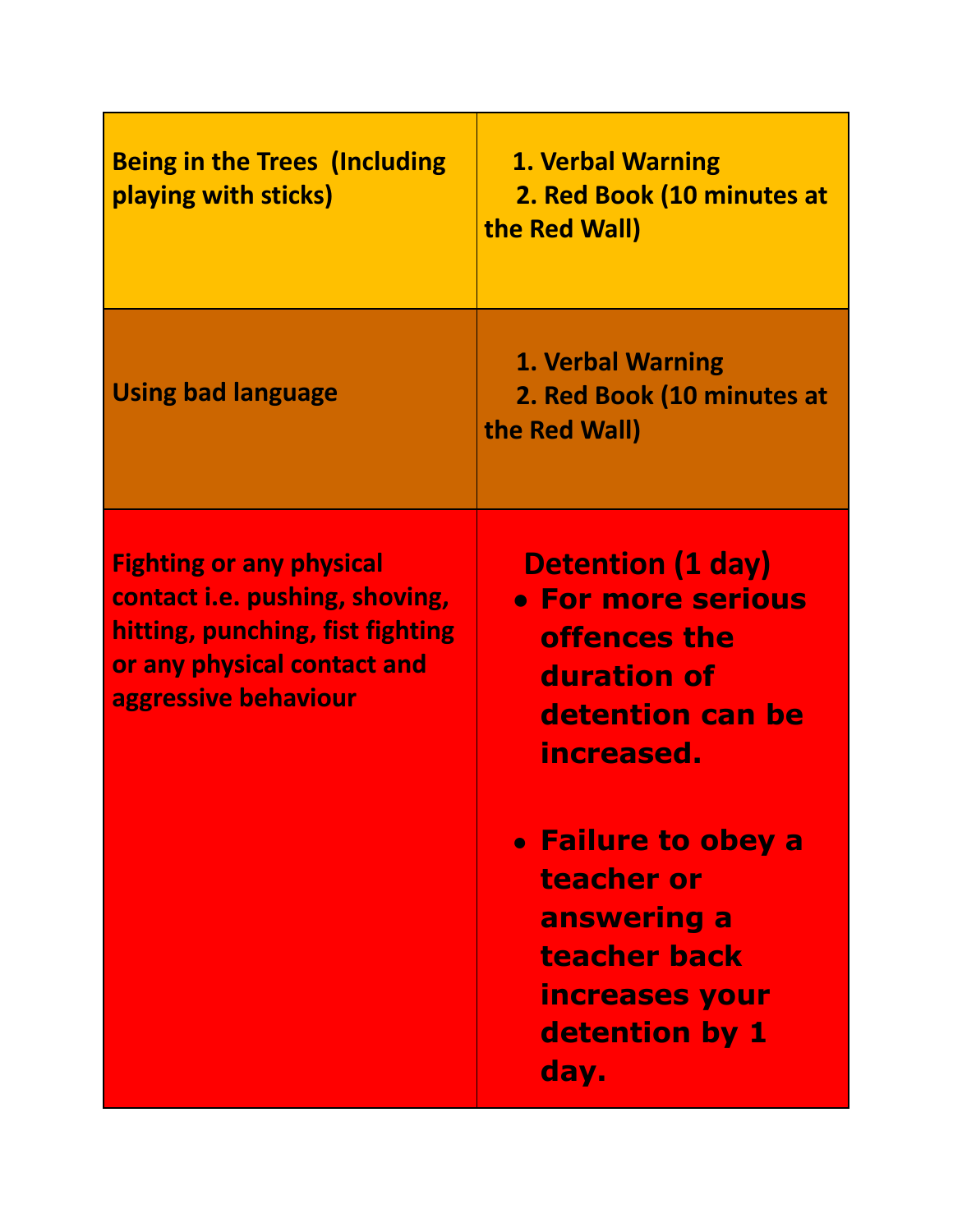| <b>Being in the Trees (Including)</b><br>playing with sticks)                                                                                                | <b>1. Verbal Warning</b><br>2. Red Book (10 minutes at<br>the Red Wall)                                         |
|--------------------------------------------------------------------------------------------------------------------------------------------------------------|-----------------------------------------------------------------------------------------------------------------|
| <b>Using bad language</b>                                                                                                                                    | <b>1. Verbal Warning</b><br>2. Red Book (10 minutes at<br>the Red Wall)                                         |
| <b>Fighting or any physical</b><br>contact i.e. pushing, shoving,<br>hitting, punching, fist fighting<br>or any physical contact and<br>aggressive behaviour | <b>Detention (1 day)</b><br>• For more serious<br>offences the<br>duration of<br>detention can be<br>increased. |
|                                                                                                                                                              | • Failure to obey a<br>teacher or<br>answering a<br>teacher back<br>increases your<br>detention by 1<br>day.    |